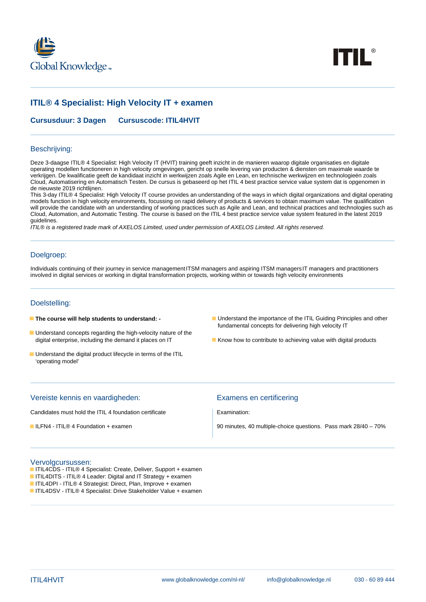



# **ITIL® 4 Specialist: High Velocity IT + examen**

**Cursusduur: 3 Dagen Cursuscode: ITIL4HVIT**

#### Beschrijving:

Deze 3-daagse ITIL® 4 Specialist: High Velocity IT (HVIT) training geeft inzicht in de manieren waarop digitale organisaties en digitale operating modellen functioneren in high velocity omgevingen, gericht op snelle levering van producten & diensten om maximale waarde te verkrijgen. De kwalificatie geeft de kandidaat inzicht in werkwijzen zoals Agile en Lean, en technische werkwijzen en technologieën zoals Cloud, Automatisering en Automatisch Testen. De cursus is gebaseerd op het ITIL 4 best practice service value system dat is opgenomen in de nieuwste 2019 richtlijnen.

This 3-day ITIL® 4 Specialist: High Velocity IT course provides an understanding of the ways in which digital organizations and digital operating models function in high velocity environments, focussing on rapid delivery of products & services to obtain maximum value. The qualification will provide the candidate with an understanding of working practices such as Agile and Lean, and technical practices and technologies such as Cloud, Automation, and Automatic Testing. The course is based on the ITIL 4 best practice service value system featured in the latest 2019 guidelines.

ITIL® is a registered trade mark of AXELOS Limited, used under permission of AXELOS Limited. All rights reserved.

### Doelgroep:

Individuals continuing of their journey in service management ITSM managers and aspiring ITSM managers IT managers and practitioners involved in digital services or working in digital transformation projects, working within or towards high velocity environments

#### Doelstelling:

- 
- **Understand concepts regarding the high-velocity nature of the** digital enterprise, including the demand it places on IT **K** Know how to contribute to achieving value with digital products
- **Understand the digital product lifecycle in terms of the ITIL** 'operating model'
- **The course will help students to understand:** Understand the importance of the ITIL Guiding Principles and other fundamental concepts for delivering high velocity IT
	-

| Vereiste kennis en vaardigheden:                       | Examens en certificering                                        |
|--------------------------------------------------------|-----------------------------------------------------------------|
| Candidates must hold the ITIL 4 foundation certificate | Examination:                                                    |
| ILFN4 - ITIL® 4 Foundation + examen                    | 90 minutes, 40 multiple-choice questions. Pass mark 28/40 - 70% |

#### Vervolgcursussen:

- ITIL4CDS ITIL® 4 Specialist: Create, Deliver, Support + examen
- ITIL4DITS ITIL® 4 Leader: Digital and IT Strategy + examen
- ITIL4DPI ITIL® 4 Strategist: Direct, Plan, Improve + examen
- ITIL4DSV ITIL® 4 Specialist: Drive Stakeholder Value + examen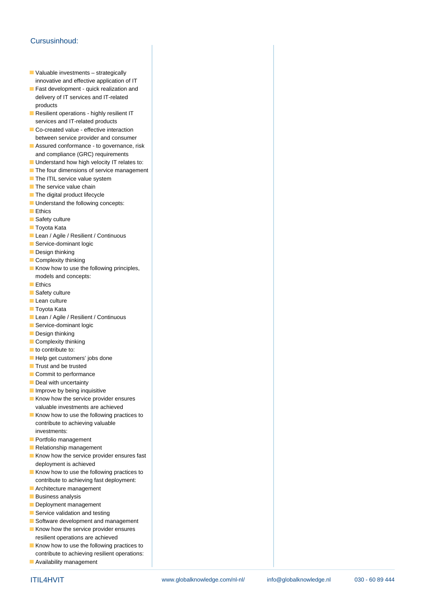## Cursusinhoud:

- Valuable investments strategically innovative and effective application of IT
- **Fast development quick realization and** delivery of IT services and IT-related products
- Resilient operations highly resilient IT services and IT-related products
- Co-created value effective interaction between service provider and consumer
- Assured conformance to governance, risk and compliance (GRC) requirements
- **Understand how high velocity IT relates to:**
- The four dimensions of service management
- $\blacksquare$  The ITIL service value system
- $\blacksquare$  The service value chain
- $\blacksquare$  The digital product lifecycle
- **Understand the following concepts:**
- **Ethics**
- Safety culture
- **Toyota Kata**
- Lean / Agile / Resilient / Continuous
- Service-dominant logic
- Design thinking
- Complexity thinking
- $\blacksquare$  Know how to use the following principles, models and concepts:
- **Ethics**
- Safety culture
- Lean culture
- **Toyota Kata**
- Lean / Agile / Resilient / Continuous
- Service-dominant logic
- Design thinking
- $\blacksquare$  Complexity thinking
- to contribute to:
- Help get customers' jobs done
- **Trust and be trusted**
- Commit to performance
- Deal with uncertainty
- $\blacksquare$  Improve by being inquisitive
- Know how the service provider ensures valuable investments are achieved
- Know how to use the following practices to contribute to achieving valuable investments:
- **Portfolio management**
- Relationship management
- $\blacksquare$  Know how the service provider ensures fast deployment is achieved
- $\blacksquare$  Know how to use the following practices to contribute to achieving fast deployment:
- **Architecture management**
- **Business analysis**
- Deployment management
- Service validation and testing
- Software development and management
- Know how the service provider ensures resilient operations are achieved
- $\blacksquare$  Know how to use the following practices to contribute to achieving resilient operations:
- **Availability management**